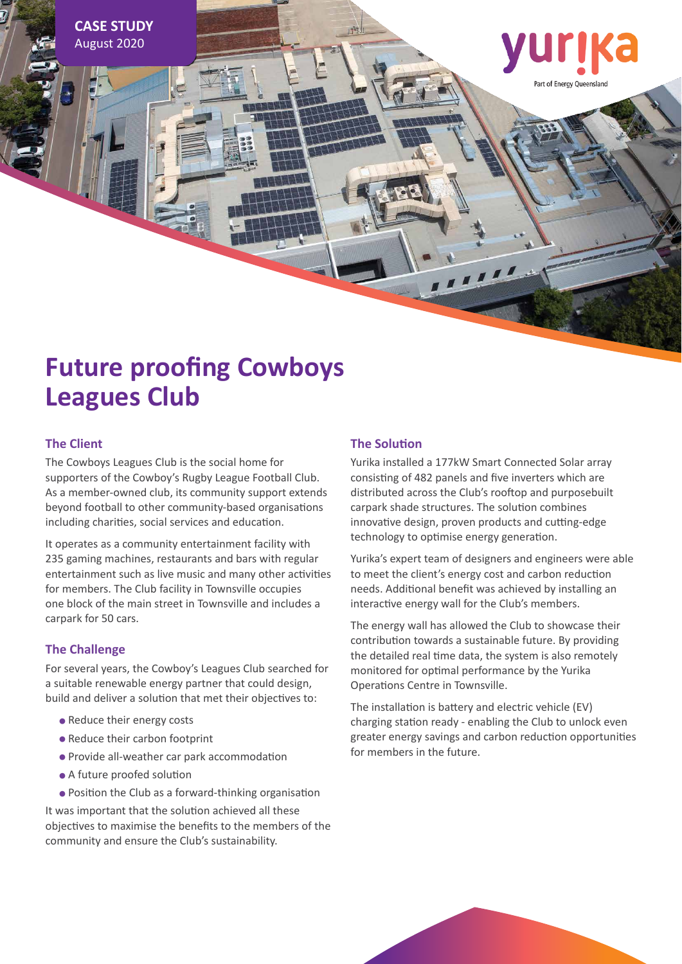**CASE STUDY** August 2020

# Part of Energy Queensland

## **Future proofing Cowboys Leagues Club**

#### **The Client**

The Cowboys Leagues Club is the social home for supporters of the Cowboy's Rugby League Football Club. As a member-owned club, its community support extends beyond football to other community-based organisations including charities, social services and education.

It operates as a community entertainment facility with 235 gaming machines, restaurants and bars with regular entertainment such as live music and many other activities for members. The Club facility in Townsville occupies one block of the main street in Townsville and includes a carpark for 50 cars.

#### **The Challenge**

For several years, the Cowboy's Leagues Club searched for a suitable renewable energy partner that could design, build and deliver a solution that met their objectives to:

- **•** Reduce their energy costs
- **•** Reduce their carbon footprint
- **•** Provide all-weather car park accommodation
- **•** A future proofed solution
- **•** Position the Club as a forward-thinking organisation

It was important that the solution achieved all these objectives to maximise the benefits to the members of the community and ensure the Club's sustainability.

#### **The Solution**

Yurika installed a 177kW Smart Connected Solar array consisting of 482 panels and five inverters which are distributed across the Club's rooftop and purposebuilt carpark shade structures. The solution combines innovative design, proven products and cutting-edge technology to optimise energy generation.

Yurika's expert team of designers and engineers were able to meet the client's energy cost and carbon reduction needs. Additional benefit was achieved by installing an interactive energy wall for the Club's members.

The energy wall has allowed the Club to showcase their contribution towards a sustainable future. By providing the detailed real time data, the system is also remotely monitored for optimal performance by the Yurika Operations Centre in Townsville.

The installation is battery and electric vehicle (EV) charging station ready - enabling the Club to unlock even greater energy savings and carbon reduction opportunities for members in the future.